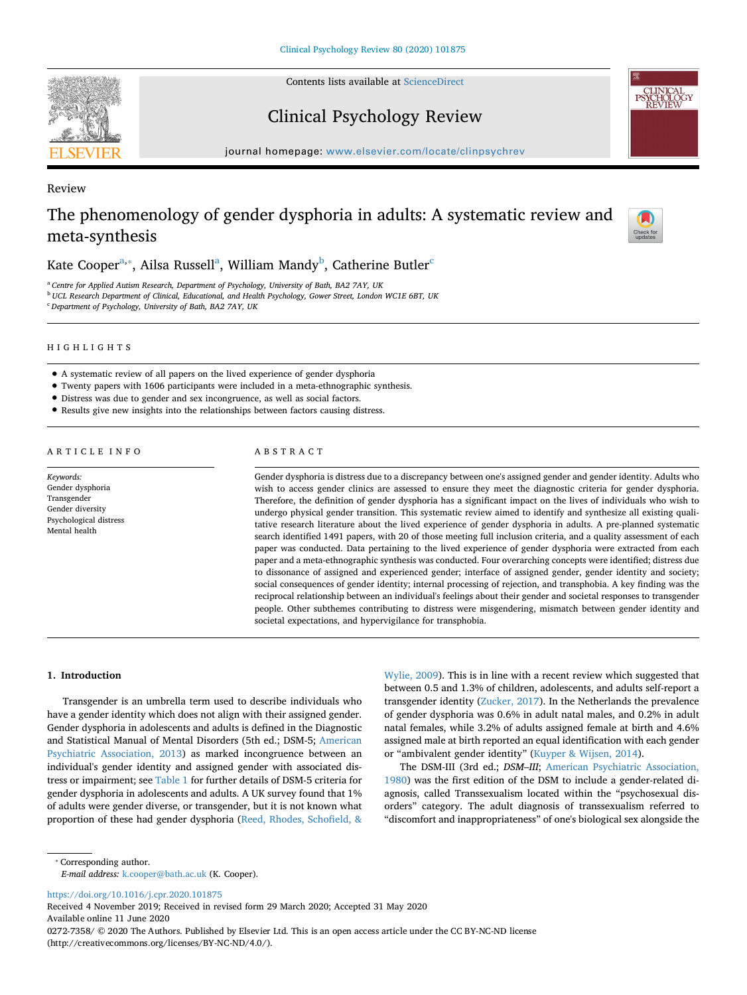Contents lists available at [ScienceDirect](http://www.sciencedirect.com/science/journal/02727358)



Review

Clinical Psychology Review



journal homepage: [www.elsevier.com/locate/clinpsychrev](https://www.elsevier.com/locate/clinpsychrev)

# The phenomenology of gender dysphoria in adults: A systematic review and meta-synthesis



K[a](#page-0-0)te Cooper $^{\mathrm{a},*}$ , Ailsa Russell $^{\mathrm{a}}$ , William Mandy $^{\mathrm{b}}$ , Catherine Butler $^{\mathrm{c}}$  $^{\mathrm{c}}$  $^{\mathrm{c}}$ 

<span id="page-0-0"></span><sup>a</sup> *Centre for Applied Autism Research, Department of Psychology, University of Bath, BA2 7AY, UK*

<span id="page-0-2"></span><sup>b</sup> *UCL Research Department of Clinical, Educational, and Health Psychology, Gower Street, London WC1E 6BT, UK*

<span id="page-0-3"></span><sup>c</sup> *Department of Psychology, University of Bath, BA2 7AY, UK*

### HIGHLIGHTS

- A systematic review of all papers on the lived experience of gender dysphoria
- Twenty papers with 1606 participants were included in a meta-ethnographic synthesis.
- Distress was due to gender and sex incongruence, as well as social factors.
- Results give new insights into the relationships between factors causing distress.

### ARTICLE INFO

*Keywords:* Gender dysphoria Transgender Gender diversity Psychological distress Mental health

### ABSTRACT

Gender dysphoria is distress due to a discrepancy between one's assigned gender and gender identity. Adults who wish to access gender clinics are assessed to ensure they meet the diagnostic criteria for gender dysphoria. Therefore, the definition of gender dysphoria has a significant impact on the lives of individuals who wish to undergo physical gender transition. This systematic review aimed to identify and synthesize all existing qualitative research literature about the lived experience of gender dysphoria in adults. A pre-planned systematic search identified 1491 papers, with 20 of those meeting full inclusion criteria, and a quality assessment of each paper was conducted. Data pertaining to the lived experience of gender dysphoria were extracted from each paper and a meta-ethnographic synthesis was conducted. Four overarching concepts were identified; distress due to dissonance of assigned and experienced gender; interface of assigned gender, gender identity and society; social consequences of gender identity; internal processing of rejection, and transphobia. A key finding was the reciprocal relationship between an individual's feelings about their gender and societal responses to transgender people. Other subthemes contributing to distress were misgendering, mismatch between gender identity and societal expectations, and hypervigilance for transphobia.

### **1. Introduction**

Transgender is an umbrella term used to describe individuals who have a gender identity which does not align with their assigned gender. Gender dysphoria in adolescents and adults is defined in the Diagnostic and Statistical Manual of Mental Disorders (5th ed.; DSM-5; [American](#page-10-0) [Psychiatric Association, 2013](#page-10-0)) as marked incongruence between an individual's gender identity and assigned gender with associated distress or impairment; see [Table 1](#page-1-0) for further details of DSM-5 criteria for gender dysphoria in adolescents and adults. A UK survey found that 1% of adults were gender diverse, or transgender, but it is not known what proportion of these had gender dysphoria [\(Reed, Rhodes, Schofield, &](#page-10-1)

[Wylie, 2009\)](#page-10-1). This is in line with a recent review which suggested that between 0.5 and 1.3% of children, adolescents, and adults self-report a transgender identity [\(Zucker, 2017](#page-10-2)). In the Netherlands the prevalence of gender dysphoria was 0.6% in adult natal males, and 0.2% in adult natal females, while 3.2% of adults assigned female at birth and 4.6% assigned male at birth reported an equal identification with each gender or "ambivalent gender identity" ([Kuyper & Wijsen, 2014\)](#page-10-3).

The DSM-III (3rd ed.; *DSM–III*; [American Psychiatric Association,](#page-10-4) [1980\)](#page-10-4) was the first edition of the DSM to include a gender-related diagnosis, called Transsexualism located within the "psychosexual disorders" category. The adult diagnosis of transsexualism referred to "discomfort and inappropriateness" of one's biological sex alongside the

<span id="page-0-1"></span>⁎ Corresponding author.

*E-mail address:* [k.cooper@bath.ac.uk](mailto:k.cooper@bath.ac.uk) (K. Cooper).

<https://doi.org/10.1016/j.cpr.2020.101875>

Received 4 November 2019; Received in revised form 29 March 2020; Accepted 31 May 2020 Available online 11 June 2020

0272-7358/ © 2020 The Authors. Published by Elsevier Ltd. This is an open access article under the CC BY-NC-ND license (http://creativecommons.org/licenses/BY-NC-ND/4.0/).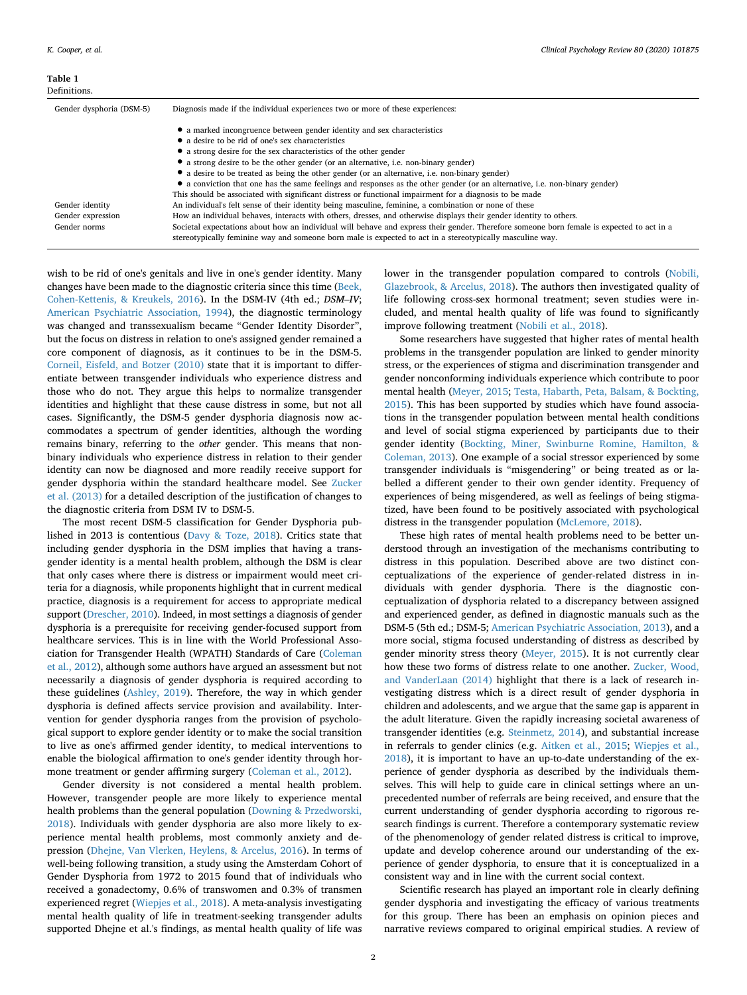<span id="page-1-0"></span>

| Gender dysphoria (DSM-5) | Diagnosis made if the individual experiences two or more of these experiences:                                                                                                                                                                         |
|--------------------------|--------------------------------------------------------------------------------------------------------------------------------------------------------------------------------------------------------------------------------------------------------|
|                          | • a marked incongruence between gender identity and sex characteristics                                                                                                                                                                                |
|                          | • a desire to be rid of one's sex characteristics                                                                                                                                                                                                      |
|                          | • a strong desire for the sex characteristics of the other gender                                                                                                                                                                                      |
|                          | • a strong desire to be the other gender (or an alternative, i.e. non-binary gender)                                                                                                                                                                   |
|                          | • a desire to be treated as being the other gender (or an alternative, i.e. non-binary gender)                                                                                                                                                         |
|                          | • a conviction that one has the same feelings and responses as the other gender (or an alternative, i.e. non-binary gender)                                                                                                                            |
|                          | This should be associated with significant distress or functional impairment for a diagnosis to be made                                                                                                                                                |
| Gender identity          | An individual's felt sense of their identity being masculine, feminine, a combination or none of these                                                                                                                                                 |
| Gender expression        | How an individual behaves, interacts with others, dresses, and otherwise displays their gender identity to others.                                                                                                                                     |
| Gender norms             | Societal expectations about how an individual will behave and express their gender. Therefore someone born female is expected to act in a<br>stereotypically feminine way and someone born male is expected to act in a stereotypically masculine way. |

wish to be rid of one's genitals and live in one's gender identity. Many changes have been made to the diagnostic criteria since this time ([Beek,](#page-10-5) [Cohen-Kettenis, & Kreukels, 2016\)](#page-10-5). In the DSM-IV (4th ed.; *DSM–IV*; [American Psychiatric Association, 1994\)](#page-10-6), the diagnostic terminology was changed and transsexualism became "Gender Identity Disorder", but the focus on distress in relation to one's assigned gender remained a core component of diagnosis, as it continues to be in the DSM-5. [Corneil, Eisfeld, and Botzer \(2010\)](#page-10-7) state that it is important to differentiate between transgender individuals who experience distress and those who do not. They argue this helps to normalize transgender identities and highlight that these cause distress in some, but not all cases. Significantly, the DSM-5 gender dysphoria diagnosis now accommodates a spectrum of gender identities, although the wording remains binary, referring to the *other* gender. This means that nonbinary individuals who experience distress in relation to their gender identity can now be diagnosed and more readily receive support for gender dysphoria within the standard healthcare model. See [Zucker](#page-10-8) [et al. \(2013\)](#page-10-8) for a detailed description of the justification of changes to the diagnostic criteria from DSM IV to DSM-5.

The most recent DSM-5 classification for Gender Dysphoria published in 2013 is contentious ([Davy & Toze, 2018](#page-10-9)). Critics state that including gender dysphoria in the DSM implies that having a transgender identity is a mental health problem, although the DSM is clear that only cases where there is distress or impairment would meet criteria for a diagnosis, while proponents highlight that in current medical practice, diagnosis is a requirement for access to appropriate medical support [\(Drescher, 2010\)](#page-10-10). Indeed, in most settings a diagnosis of gender dysphoria is a prerequisite for receiving gender-focused support from healthcare services. This is in line with the World Professional Association for Transgender Health (WPATH) Standards of Care ([Coleman](#page-10-11) [et al., 2012](#page-10-11)), although some authors have argued an assessment but not necessarily a diagnosis of gender dysphoria is required according to these guidelines [\(Ashley, 2019\)](#page-10-12). Therefore, the way in which gender dysphoria is defined affects service provision and availability. Intervention for gender dysphoria ranges from the provision of psychological support to explore gender identity or to make the social transition to live as one's affirmed gender identity, to medical interventions to enable the biological affirmation to one's gender identity through hormone treatment or gender affirming surgery [\(Coleman et al., 2012](#page-10-11)).

Gender diversity is not considered a mental health problem. However, transgender people are more likely to experience mental health problems than the general population ([Downing & Przedworski,](#page-10-13) [2018\)](#page-10-13). Individuals with gender dysphoria are also more likely to experience mental health problems, most commonly anxiety and depression [\(Dhejne, Van Vlerken, Heylens, & Arcelus, 2016\)](#page-10-14). In terms of well-being following transition, a study using the Amsterdam Cohort of Gender Dysphoria from 1972 to 2015 found that of individuals who received a gonadectomy, 0.6% of transwomen and 0.3% of transmen experienced regret [\(Wiepjes et al., 2018](#page-10-15)). A meta-analysis investigating mental health quality of life in treatment-seeking transgender adults supported Dhejne et al.'s findings, as mental health quality of life was lower in the transgender population compared to controls ([Nobili,](#page-10-16) [Glazebrook, & Arcelus, 2018](#page-10-16)). The authors then investigated quality of life following cross-sex hormonal treatment; seven studies were included, and mental health quality of life was found to significantly improve following treatment ([Nobili et al., 2018\)](#page-10-16).

Some researchers have suggested that higher rates of mental health problems in the transgender population are linked to gender minority stress, or the experiences of stigma and discrimination transgender and gender nonconforming individuals experience which contribute to poor mental health ([Meyer, 2015;](#page-10-17) [Testa, Habarth, Peta, Balsam, & Bockting,](#page-10-18) [2015\)](#page-10-18). This has been supported by studies which have found associations in the transgender population between mental health conditions and level of social stigma experienced by participants due to their gender identity [\(Bockting, Miner, Swinburne Romine, Hamilton, &](#page-10-19) [Coleman, 2013](#page-10-19)). One example of a social stressor experienced by some transgender individuals is "misgendering" or being treated as or labelled a different gender to their own gender identity. Frequency of experiences of being misgendered, as well as feelings of being stigmatized, have been found to be positively associated with psychological distress in the transgender population [\(McLemore, 2018\)](#page-10-20).

These high rates of mental health problems need to be better understood through an investigation of the mechanisms contributing to distress in this population. Described above are two distinct conceptualizations of the experience of gender-related distress in individuals with gender dysphoria. There is the diagnostic conceptualization of dysphoria related to a discrepancy between assigned and experienced gender, as defined in diagnostic manuals such as the DSM-5 (5th ed.; DSM-5; [American Psychiatric Association, 2013](#page-10-0)), and a more social, stigma focused understanding of distress as described by gender minority stress theory [\(Meyer, 2015\)](#page-10-17). It is not currently clear how these two forms of distress relate to one another. [Zucker, Wood,](#page-10-21) [and VanderLaan \(2014\)](#page-10-21) highlight that there is a lack of research investigating distress which is a direct result of gender dysphoria in children and adolescents, and we argue that the same gap is apparent in the adult literature. Given the rapidly increasing societal awareness of transgender identities (e.g. [Steinmetz, 2014](#page-10-22)), and substantial increase in referrals to gender clinics (e.g. [Aitken et al., 2015](#page-10-23); [Wiepjes et al.,](#page-10-15) [2018\)](#page-10-15), it is important to have an up-to-date understanding of the experience of gender dysphoria as described by the individuals themselves. This will help to guide care in clinical settings where an unprecedented number of referrals are being received, and ensure that the current understanding of gender dysphoria according to rigorous research findings is current. Therefore a contemporary systematic review of the phenomenology of gender related distress is critical to improve, update and develop coherence around our understanding of the experience of gender dysphoria, to ensure that it is conceptualized in a consistent way and in line with the current social context.

Scientific research has played an important role in clearly defining gender dysphoria and investigating the efficacy of various treatments for this group. There has been an emphasis on opinion pieces and narrative reviews compared to original empirical studies. A review of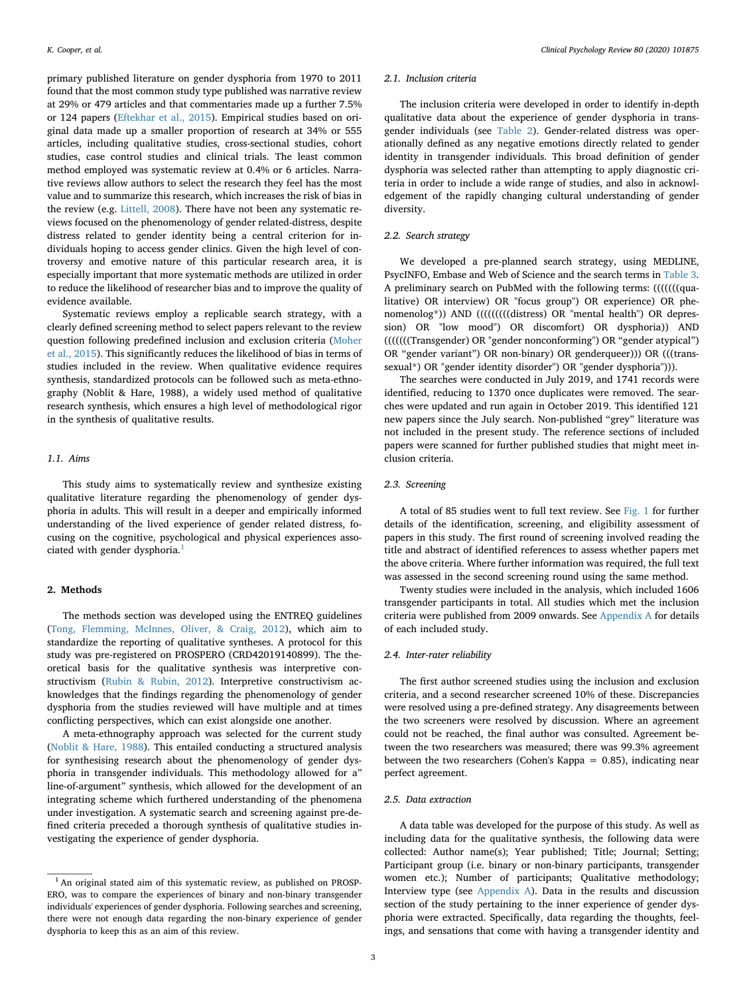primary published literature on gender dysphoria from 1970 to 2011 found that the most common study type published was narrative review at 29% or 479 articles and that commentaries made up a further 7.5% or 124 papers ([Eftekhar et al., 2015](#page-10-24)). Empirical studies based on original data made up a smaller proportion of research at 34% or 555 articles, including qualitative studies, cross-sectional studies, cohort studies, case control studies and clinical trials. The least common method employed was systematic review at 0.4% or 6 articles. Narrative reviews allow authors to select the research they feel has the most value and to summarize this research, which increases the risk of bias in the review (e.g. [Littell, 2008\)](#page-10-25). There have not been any systematic reviews focused on the phenomenology of gender related-distress, despite distress related to gender identity being a central criterion for individuals hoping to access gender clinics. Given the high level of controversy and emotive nature of this particular research area, it is especially important that more systematic methods are utilized in order to reduce the likelihood of researcher bias and to improve the quality of evidence available.

Systematic reviews employ a replicable search strategy, with a clearly defined screening method to select papers relevant to the review question following predefined inclusion and exclusion criteria ([Moher](#page-10-26) [et al., 2015](#page-10-26)). This significantly reduces the likelihood of bias in terms of studies included in the review. When qualitative evidence requires synthesis, standardized protocols can be followed such as meta-ethnography (Noblit & Hare, 1988), a widely used method of qualitative research synthesis, which ensures a high level of methodological rigor in the synthesis of qualitative results.

### *1.1. Aims*

This study aims to systematically review and synthesize existing qualitative literature regarding the phenomenology of gender dysphoria in adults. This will result in a deeper and empirically informed understanding of the lived experience of gender related distress, focusing on the cognitive, psychological and physical experiences asso-ciated with gender dysphoria.<sup>[1](#page-2-0)</sup>

#### **2. Methods**

The methods section was developed using the ENTREQ guidelines ([Tong, Flemming, McInnes, Oliver, & Craig, 2012](#page-10-27)), which aim to standardize the reporting of qualitative syntheses. A protocol for this study was pre-registered on PROSPERO (CRD42019140899). The theoretical basis for the qualitative synthesis was interpretive constructivism [\(Rubin & Rubin, 2012](#page-10-28)). Interpretive constructivism acknowledges that the findings regarding the phenomenology of gender dysphoria from the studies reviewed will have multiple and at times conflicting perspectives, which can exist alongside one another.

A meta-ethnography approach was selected for the current study ([Noblit & Hare, 1988\)](#page-10-29). This entailed conducting a structured analysis for synthesising research about the phenomenology of gender dysphoria in transgender individuals. This methodology allowed for a" line-of-argument" synthesis, which allowed for the development of an integrating scheme which furthered understanding of the phenomena under investigation. A systematic search and screening against pre-defined criteria preceded a thorough synthesis of qualitative studies investigating the experience of gender dysphoria.

### *2.1. Inclusion criteria*

The inclusion criteria were developed in order to identify in-depth qualitative data about the experience of gender dysphoria in transgender individuals (see [Table 2\)](#page-3-0). Gender-related distress was operationally defined as any negative emotions directly related to gender identity in transgender individuals. This broad definition of gender dysphoria was selected rather than attempting to apply diagnostic criteria in order to include a wide range of studies, and also in acknowledgement of the rapidly changing cultural understanding of gender diversity.

### *2.2. Search strategy*

We developed a pre-planned search strategy, using MEDLINE, PsycINFO, Embase and Web of Science and the search terms in [Table 3](#page-3-1). A preliminary search on PubMed with the following terms: (((((((qualitative) OR interview) OR "focus group") OR experience) OR phenomenolog\*)) AND ((((((((((distress) OR "mental health") OR depression) OR "low mood") OR discomfort) OR dysphoria)) AND (((((((Transgender) OR "gender nonconforming") OR "gender atypical") OR "gender variant") OR non-binary) OR genderqueer))) OR (((transsexual\*) OR "gender identity disorder") OR "gender dysphoria"))).

The searches were conducted in July 2019, and 1741 records were identified, reducing to 1370 once duplicates were removed. The searches were updated and run again in October 2019. This identified 121 new papers since the July search. Non-published "grey" literature was not included in the present study. The reference sections of included papers were scanned for further published studies that might meet inclusion criteria.

### *2.3. Screening*

A total of 85 studies went to full text review. See [Fig. 1](#page-4-0) for further details of the identification, screening, and eligibility assessment of papers in this study. The first round of screening involved reading the title and abstract of identified references to assess whether papers met the above criteria. Where further information was required, the full text was assessed in the second screening round using the same method.

Twenty studies were included in the analysis, which included 1606 transgender participants in total. All studies which met the inclusion criteria were published from 2009 onwards. See [Appendix A](#page-8-0) for details of each included study.

### *2.4. Inter-rater reliability*

The first author screened studies using the inclusion and exclusion criteria, and a second researcher screened 10% of these. Discrepancies were resolved using a pre-defined strategy. Any disagreements between the two screeners were resolved by discussion. Where an agreement could not be reached, the final author was consulted. Agreement between the two researchers was measured; there was 99.3% agreement between the two researchers (Cohen's Kappa = 0.85), indicating near perfect agreement.

### *2.5. Data extraction*

A data table was developed for the purpose of this study. As well as including data for the qualitative synthesis, the following data were collected: Author name(s); Year published; Title; Journal; Setting; Participant group (i.e. binary or non-binary participants, transgender women etc.); Number of participants; Qualitative methodology; Interview type (see [Appendix A\)](#page-8-0). Data in the results and discussion section of the study pertaining to the inner experience of gender dysphoria were extracted. Specifically, data regarding the thoughts, feelings, and sensations that come with having a transgender identity and

<span id="page-2-0"></span><sup>&</sup>lt;sup>1</sup> An original stated aim of this systematic review, as published on PROSP-ERO, was to compare the experiences of binary and non-binary transgender individuals' experiences of gender dysphoria. Following searches and screening, there were not enough data regarding the non-binary experience of gender dysphoria to keep this as an aim of this review.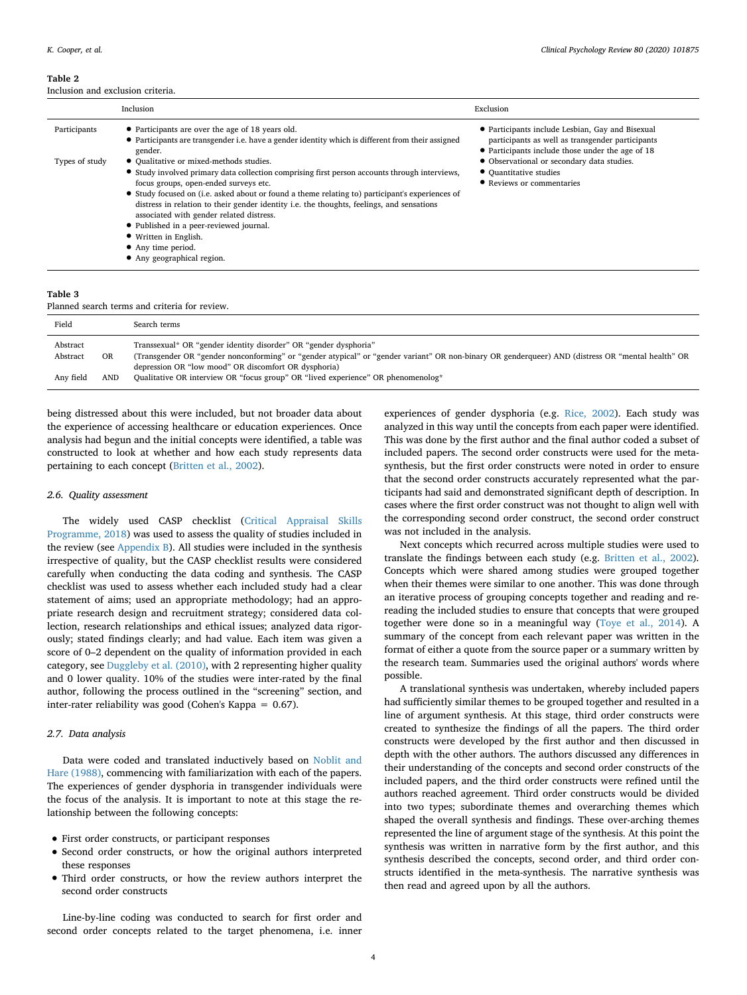<span id="page-3-0"></span>

|                | Inclusion                                                                                                                                                                                                                                                                                                                                                                                                                                                                                                                                             | Exclusion                                                                                                                                                |
|----------------|-------------------------------------------------------------------------------------------------------------------------------------------------------------------------------------------------------------------------------------------------------------------------------------------------------------------------------------------------------------------------------------------------------------------------------------------------------------------------------------------------------------------------------------------------------|----------------------------------------------------------------------------------------------------------------------------------------------------------|
| Participants   | • Participants are over the age of 18 years old.<br>• Participants are transgender i.e. have a gender identity which is different from their assigned<br>gender.                                                                                                                                                                                                                                                                                                                                                                                      | • Participants include Lesbian, Gay and Bisexual<br>participants as well as transgender participants<br>• Participants include those under the age of 18 |
| Types of study | • Qualitative or mixed-methods studies.<br>• Study involved primary data collection comprising first person accounts through interviews,<br>focus groups, open-ended surveys etc.<br>• Study focused on (i.e. asked about or found a theme relating to) participant's experiences of<br>distress in relation to their gender identity i.e. the thoughts, feelings, and sensations<br>associated with gender related distress.<br>• Published in a peer-reviewed journal.<br>• Written in English.<br>• Any time period.<br>• Any geographical region. | • Observational or secondary data studies.<br>• Quantitative studies<br>• Reviews or commentaries                                                        |

### <span id="page-3-1"></span>**Table 3**

Planned search terms and criteria for review.

| Field     |     | Search terms                                                                                                                                      |
|-----------|-----|---------------------------------------------------------------------------------------------------------------------------------------------------|
| Abstract  |     | Transsexual* OR "gender identity disorder" OR "gender dysphoria"                                                                                  |
| Abstract  | OR  | (Transgender OR "gender nonconforming" or "gender atypical" or "gender variant" OR non-binary OR genderqueer) AND (distress OR "mental health" OR |
|           |     | depression OR "low mood" OR discomfort OR dysphoria)                                                                                              |
| Any field | AND | Qualitative OR interview OR "focus group" OR "lived experience" OR phenomenolog*                                                                  |
|           |     |                                                                                                                                                   |

being distressed about this were included, but not broader data about the experience of accessing healthcare or education experiences. Once analysis had begun and the initial concepts were identified, a table was constructed to look at whether and how each study represents data pertaining to each concept [\(Britten et al., 2002\)](#page-10-30).

### *2.6. Quality assessment*

The widely used CASP checklist [\(Critical Appraisal Skills](#page-10-31) [Programme, 2018\)](#page-10-31) was used to assess the quality of studies included in the review (see [Appendix B\)](#page-9-0). All studies were included in the synthesis irrespective of quality, but the CASP checklist results were considered carefully when conducting the data coding and synthesis. The CASP checklist was used to assess whether each included study had a clear statement of aims; used an appropriate methodology; had an appropriate research design and recruitment strategy; considered data collection, research relationships and ethical issues; analyzed data rigorously; stated findings clearly; and had value. Each item was given a score of 0–2 dependent on the quality of information provided in each category, see [Duggleby et al. \(2010\)](#page-10-32), with 2 representing higher quality and 0 lower quality. 10% of the studies were inter-rated by the final author, following the process outlined in the "screening" section, and inter-rater reliability was good (Cohen's Kappa = 0.67).

### *2.7. Data analysis*

Data were coded and translated inductively based on [Noblit and](#page-10-29) [Hare \(1988\),](#page-10-29) commencing with familiarization with each of the papers. The experiences of gender dysphoria in transgender individuals were the focus of the analysis. It is important to note at this stage the relationship between the following concepts:

- First order constructs, or participant responses
- Second order constructs, or how the original authors interpreted these responses
- Third order constructs, or how the review authors interpret the second order constructs

Line-by-line coding was conducted to search for first order and second order concepts related to the target phenomena, i.e. inner

experiences of gender dysphoria (e.g. [Rice, 2002](#page-10-33)). Each study was analyzed in this way until the concepts from each paper were identified. This was done by the first author and the final author coded a subset of included papers. The second order constructs were used for the metasynthesis, but the first order constructs were noted in order to ensure that the second order constructs accurately represented what the participants had said and demonstrated significant depth of description. In cases where the first order construct was not thought to align well with the corresponding second order construct, the second order construct was not included in the analysis.

Next concepts which recurred across multiple studies were used to translate the findings between each study (e.g. [Britten et al., 2002](#page-10-30)). Concepts which were shared among studies were grouped together when their themes were similar to one another. This was done through an iterative process of grouping concepts together and reading and rereading the included studies to ensure that concepts that were grouped together were done so in a meaningful way [\(Toye et al., 2014](#page-10-34)). A summary of the concept from each relevant paper was written in the format of either a quote from the source paper or a summary written by the research team. Summaries used the original authors' words where possible.

A translational synthesis was undertaken, whereby included papers had sufficiently similar themes to be grouped together and resulted in a line of argument synthesis. At this stage, third order constructs were created to synthesize the findings of all the papers. The third order constructs were developed by the first author and then discussed in depth with the other authors. The authors discussed any differences in their understanding of the concepts and second order constructs of the included papers, and the third order constructs were refined until the authors reached agreement. Third order constructs would be divided into two types; subordinate themes and overarching themes which shaped the overall synthesis and findings. These over-arching themes represented the line of argument stage of the synthesis. At this point the synthesis was written in narrative form by the first author, and this synthesis described the concepts, second order, and third order constructs identified in the meta-synthesis. The narrative synthesis was then read and agreed upon by all the authors.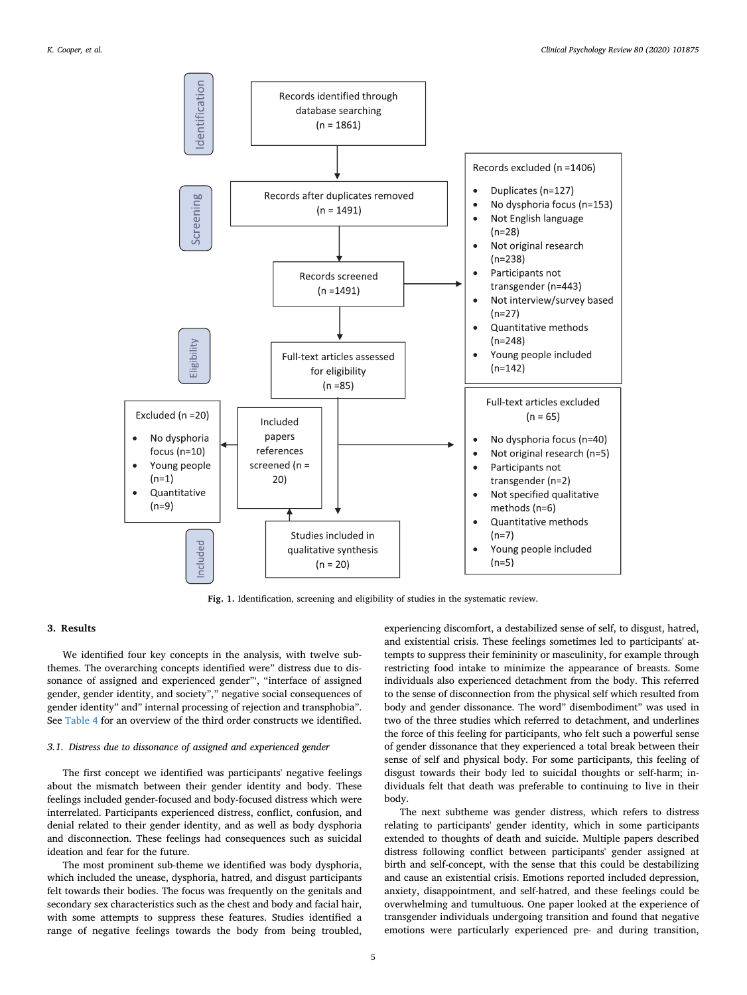<span id="page-4-0"></span>

**Fig. 1.** Identification, screening and eligibility of studies in the systematic review.

### **3. Results**

We identified four key concepts in the analysis, with twelve subthemes. The overarching concepts identified were" distress due to dissonance of assigned and experienced gender"', "interface of assigned gender, gender identity, and society"," negative social consequences of gender identity" and" internal processing of rejection and transphobia". See [Table 4](#page-5-0) for an overview of the third order constructs we identified.

### *3.1. Distress due to dissonance of assigned and experienced gender*

The first concept we identified was participants' negative feelings about the mismatch between their gender identity and body. These feelings included gender-focused and body-focused distress which were interrelated. Participants experienced distress, conflict, confusion, and denial related to their gender identity, and as well as body dysphoria and disconnection. These feelings had consequences such as suicidal ideation and fear for the future.

The most prominent sub-theme we identified was body dysphoria, which included the unease, dysphoria, hatred, and disgust participants felt towards their bodies. The focus was frequently on the genitals and secondary sex characteristics such as the chest and body and facial hair, with some attempts to suppress these features. Studies identified a range of negative feelings towards the body from being troubled, experiencing discomfort, a destabilized sense of self, to disgust, hatred, and existential crisis. These feelings sometimes led to participants' attempts to suppress their femininity or masculinity, for example through restricting food intake to minimize the appearance of breasts. Some individuals also experienced detachment from the body. This referred to the sense of disconnection from the physical self which resulted from body and gender dissonance. The word" disembodiment" was used in two of the three studies which referred to detachment, and underlines the force of this feeling for participants, who felt such a powerful sense of gender dissonance that they experienced a total break between their sense of self and physical body. For some participants, this feeling of disgust towards their body led to suicidal thoughts or self-harm; individuals felt that death was preferable to continuing to live in their body.

The next subtheme was gender distress, which refers to distress relating to participants' gender identity, which in some participants extended to thoughts of death and suicide. Multiple papers described distress following conflict between participants' gender assigned at birth and self-concept, with the sense that this could be destabilizing and cause an existential crisis. Emotions reported included depression, anxiety, disappointment, and self-hatred, and these feelings could be overwhelming and tumultuous. One paper looked at the experience of transgender individuals undergoing transition and found that negative emotions were particularly experienced pre- and during transition,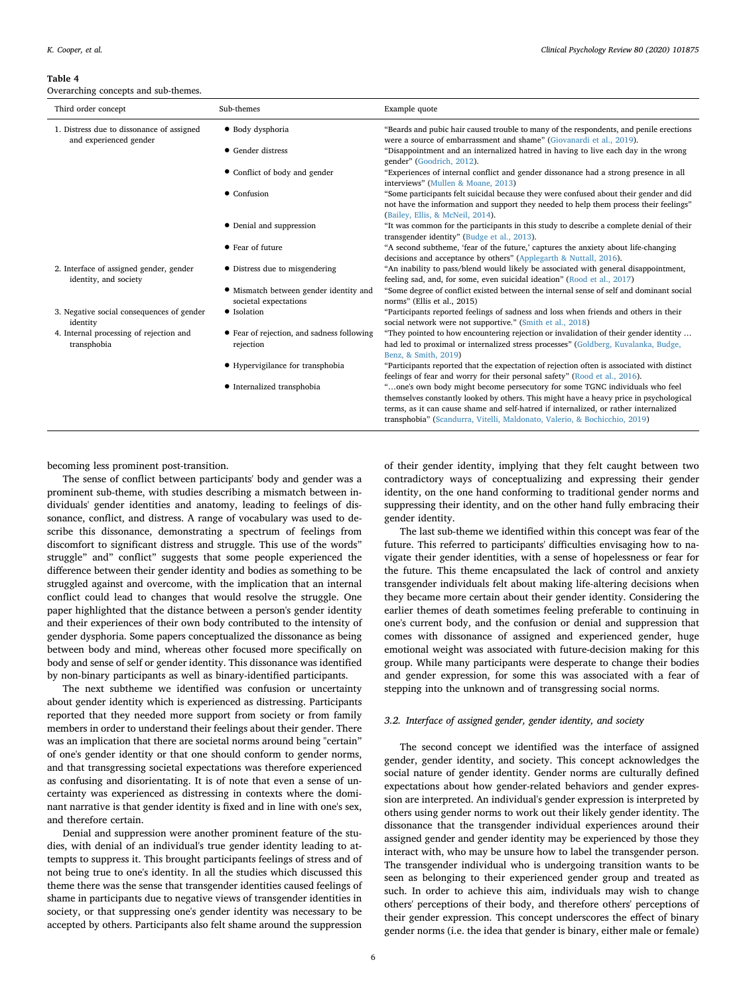#### <span id="page-5-0"></span>**Table 4**

Overarching concepts and sub-themes.

| Third order concept                                                 | Sub-themes                                                      | Example quote                                                                                                                                                                                                                                                                                                                              |  |  |  |  |  |  |  |
|---------------------------------------------------------------------|-----------------------------------------------------------------|--------------------------------------------------------------------------------------------------------------------------------------------------------------------------------------------------------------------------------------------------------------------------------------------------------------------------------------------|--|--|--|--|--|--|--|
| 1. Distress due to dissonance of assigned<br>and experienced gender | · Body dysphoria                                                | "Beards and pubic hair caused trouble to many of the respondents, and penile erections<br>were a source of embarrassment and shame" (Giovanardi et al., 2019).                                                                                                                                                                             |  |  |  |  |  |  |  |
|                                                                     | • Gender distress                                               | "Disappointment and an internalized hatred in having to live each day in the wrong<br>gender" (Goodrich, 2012).                                                                                                                                                                                                                            |  |  |  |  |  |  |  |
|                                                                     | • Conflict of body and gender                                   | "Experiences of internal conflict and gender dissonance had a strong presence in all<br>interviews" (Mullen & Moane, 2013)                                                                                                                                                                                                                 |  |  |  |  |  |  |  |
|                                                                     | $\bullet$ Confusion                                             | "Some participants felt suicidal because they were confused about their gender and did<br>not have the information and support they needed to help them process their feelings"<br>(Bailey, Ellis, & McNeil, 2014).                                                                                                                        |  |  |  |  |  |  |  |
|                                                                     | • Denial and suppression                                        | "It was common for the participants in this study to describe a complete denial of their<br>transgender identity" (Budge et al., 2013).                                                                                                                                                                                                    |  |  |  |  |  |  |  |
|                                                                     | • Fear of future                                                | "A second subtheme, 'fear of the future,' captures the anxiety about life-changing<br>decisions and acceptance by others" (Applegarth & Nuttall, 2016).                                                                                                                                                                                    |  |  |  |  |  |  |  |
| 2. Interface of assigned gender, gender<br>identity, and society    | • Distress due to misgendering                                  | "An inability to pass/blend would likely be associated with general disappointment,<br>feeling sad, and, for some, even suicidal ideation" (Rood et al., 2017)                                                                                                                                                                             |  |  |  |  |  |  |  |
|                                                                     | • Mismatch between gender identity and<br>societal expectations | "Some degree of conflict existed between the internal sense of self and dominant social<br>norms" (Ellis et al., 2015)                                                                                                                                                                                                                     |  |  |  |  |  |  |  |
| 3. Negative social consequences of gender<br>identity               | • Isolation                                                     | "Participants reported feelings of sadness and loss when friends and others in their<br>social network were not supportive." (Smith et al., 2018)                                                                                                                                                                                          |  |  |  |  |  |  |  |
| 4. Internal processing of rejection and<br>transphobia              | • Fear of rejection, and sadness following<br>rejection         | "They pointed to how encountering rejection or invalidation of their gender identity<br>had led to proximal or internalized stress processes" (Goldberg, Kuvalanka, Budge,<br>Benz, & Smith, 2019)                                                                                                                                         |  |  |  |  |  |  |  |
|                                                                     | • Hypervigilance for transphobia                                | "Participants reported that the expectation of rejection often is associated with distinct<br>feelings of fear and worry for their personal safety" (Rood et al., 2016).                                                                                                                                                                   |  |  |  |  |  |  |  |
|                                                                     | • Internalized transphobia                                      | "one's own body might become persecutory for some TGNC individuals who feel<br>themselves constantly looked by others. This might have a heavy price in psychological<br>terms, as it can cause shame and self-hatred if internalized, or rather internalized<br>transphobia" (Scandurra, Vitelli, Maldonato, Valerio, & Bochicchio, 2019) |  |  |  |  |  |  |  |

becoming less prominent post-transition.

The sense of conflict between participants' body and gender was a prominent sub-theme, with studies describing a mismatch between individuals' gender identities and anatomy, leading to feelings of dissonance, conflict, and distress. A range of vocabulary was used to describe this dissonance, demonstrating a spectrum of feelings from discomfort to significant distress and struggle. This use of the words" struggle" and" conflict" suggests that some people experienced the difference between their gender identity and bodies as something to be struggled against and overcome, with the implication that an internal conflict could lead to changes that would resolve the struggle. One paper highlighted that the distance between a person's gender identity and their experiences of their own body contributed to the intensity of gender dysphoria. Some papers conceptualized the dissonance as being between body and mind, whereas other focused more specifically on body and sense of self or gender identity. This dissonance was identified by non-binary participants as well as binary-identified participants.

The next subtheme we identified was confusion or uncertainty about gender identity which is experienced as distressing. Participants reported that they needed more support from society or from family members in order to understand their feelings about their gender. There was an implication that there are societal norms around being "certain" of one's gender identity or that one should conform to gender norms, and that transgressing societal expectations was therefore experienced as confusing and disorientating. It is of note that even a sense of uncertainty was experienced as distressing in contexts where the dominant narrative is that gender identity is fixed and in line with one's sex, and therefore certain.

Denial and suppression were another prominent feature of the studies, with denial of an individual's true gender identity leading to attempts to suppress it. This brought participants feelings of stress and of not being true to one's identity. In all the studies which discussed this theme there was the sense that transgender identities caused feelings of shame in participants due to negative views of transgender identities in society, or that suppressing one's gender identity was necessary to be accepted by others. Participants also felt shame around the suppression

of their gender identity, implying that they felt caught between two contradictory ways of conceptualizing and expressing their gender identity, on the one hand conforming to traditional gender norms and suppressing their identity, and on the other hand fully embracing their gender identity.

The last sub-theme we identified within this concept was fear of the future. This referred to participants' difficulties envisaging how to navigate their gender identities, with a sense of hopelessness or fear for the future. This theme encapsulated the lack of control and anxiety transgender individuals felt about making life-altering decisions when they became more certain about their gender identity. Considering the earlier themes of death sometimes feeling preferable to continuing in one's current body, and the confusion or denial and suppression that comes with dissonance of assigned and experienced gender, huge emotional weight was associated with future-decision making for this group. While many participants were desperate to change their bodies and gender expression, for some this was associated with a fear of stepping into the unknown and of transgressing social norms.

### *3.2. Interface of assigned gender, gender identity, and society*

The second concept we identified was the interface of assigned gender, gender identity, and society. This concept acknowledges the social nature of gender identity. Gender norms are culturally defined expectations about how gender-related behaviors and gender expression are interpreted. An individual's gender expression is interpreted by others using gender norms to work out their likely gender identity. The dissonance that the transgender individual experiences around their assigned gender and gender identity may be experienced by those they interact with, who may be unsure how to label the transgender person. The transgender individual who is undergoing transition wants to be seen as belonging to their experienced gender group and treated as such. In order to achieve this aim, individuals may wish to change others' perceptions of their body, and therefore others' perceptions of their gender expression. This concept underscores the effect of binary gender norms (i.e. the idea that gender is binary, either male or female)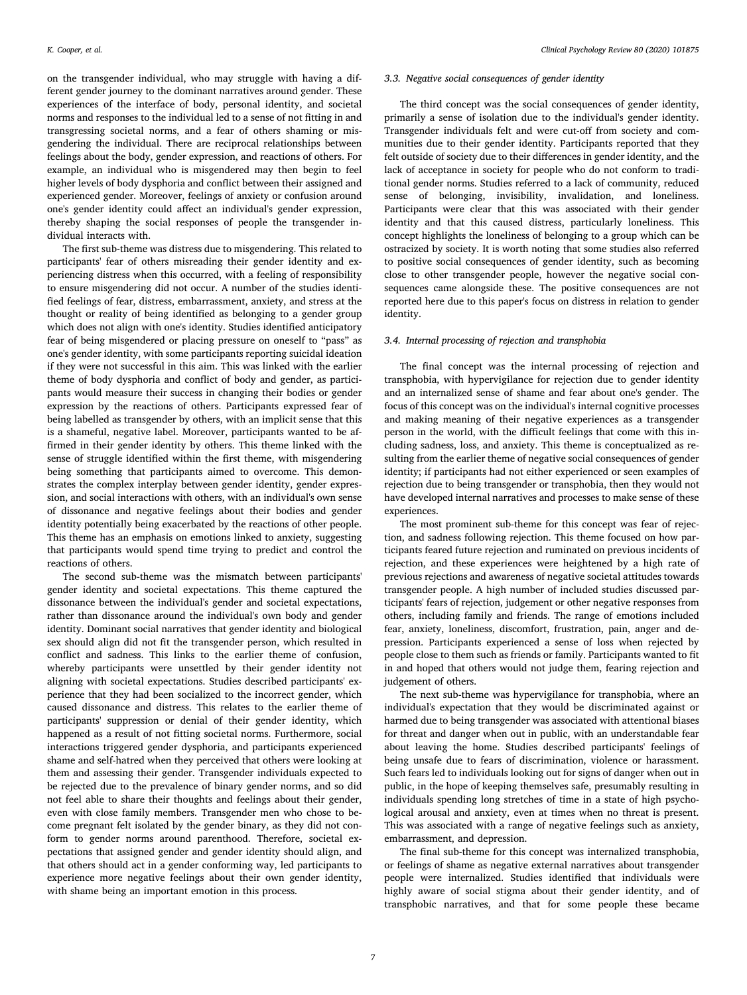on the transgender individual, who may struggle with having a different gender journey to the dominant narratives around gender. These experiences of the interface of body, personal identity, and societal norms and responses to the individual led to a sense of not fitting in and transgressing societal norms, and a fear of others shaming or misgendering the individual. There are reciprocal relationships between feelings about the body, gender expression, and reactions of others. For example, an individual who is misgendered may then begin to feel higher levels of body dysphoria and conflict between their assigned and experienced gender. Moreover, feelings of anxiety or confusion around one's gender identity could affect an individual's gender expression, thereby shaping the social responses of people the transgender individual interacts with.

The first sub-theme was distress due to misgendering. This related to participants' fear of others misreading their gender identity and experiencing distress when this occurred, with a feeling of responsibility to ensure misgendering did not occur. A number of the studies identified feelings of fear, distress, embarrassment, anxiety, and stress at the thought or reality of being identified as belonging to a gender group which does not align with one's identity. Studies identified anticipatory fear of being misgendered or placing pressure on oneself to "pass" as one's gender identity, with some participants reporting suicidal ideation if they were not successful in this aim. This was linked with the earlier theme of body dysphoria and conflict of body and gender, as participants would measure their success in changing their bodies or gender expression by the reactions of others. Participants expressed fear of being labelled as transgender by others, with an implicit sense that this is a shameful, negative label. Moreover, participants wanted to be affirmed in their gender identity by others. This theme linked with the sense of struggle identified within the first theme, with misgendering being something that participants aimed to overcome. This demonstrates the complex interplay between gender identity, gender expression, and social interactions with others, with an individual's own sense of dissonance and negative feelings about their bodies and gender identity potentially being exacerbated by the reactions of other people. This theme has an emphasis on emotions linked to anxiety, suggesting that participants would spend time trying to predict and control the reactions of others.

The second sub-theme was the mismatch between participants' gender identity and societal expectations. This theme captured the dissonance between the individual's gender and societal expectations, rather than dissonance around the individual's own body and gender identity. Dominant social narratives that gender identity and biological sex should align did not fit the transgender person, which resulted in conflict and sadness. This links to the earlier theme of confusion, whereby participants were unsettled by their gender identity not aligning with societal expectations. Studies described participants' experience that they had been socialized to the incorrect gender, which caused dissonance and distress. This relates to the earlier theme of participants' suppression or denial of their gender identity, which happened as a result of not fitting societal norms. Furthermore, social interactions triggered gender dysphoria, and participants experienced shame and self-hatred when they perceived that others were looking at them and assessing their gender. Transgender individuals expected to be rejected due to the prevalence of binary gender norms, and so did not feel able to share their thoughts and feelings about their gender, even with close family members. Transgender men who chose to become pregnant felt isolated by the gender binary, as they did not conform to gender norms around parenthood. Therefore, societal expectations that assigned gender and gender identity should align, and that others should act in a gender conforming way, led participants to experience more negative feelings about their own gender identity, with shame being an important emotion in this process.

#### *3.3. Negative social consequences of gender identity*

The third concept was the social consequences of gender identity, primarily a sense of isolation due to the individual's gender identity. Transgender individuals felt and were cut-off from society and communities due to their gender identity. Participants reported that they felt outside of society due to their differences in gender identity, and the lack of acceptance in society for people who do not conform to traditional gender norms. Studies referred to a lack of community, reduced sense of belonging, invisibility, invalidation, and loneliness. Participants were clear that this was associated with their gender identity and that this caused distress, particularly loneliness. This concept highlights the loneliness of belonging to a group which can be ostracized by society. It is worth noting that some studies also referred to positive social consequences of gender identity, such as becoming close to other transgender people, however the negative social consequences came alongside these. The positive consequences are not reported here due to this paper's focus on distress in relation to gender identity.

### *3.4. Internal processing of rejection and transphobia*

The final concept was the internal processing of rejection and transphobia, with hypervigilance for rejection due to gender identity and an internalized sense of shame and fear about one's gender. The focus of this concept was on the individual's internal cognitive processes and making meaning of their negative experiences as a transgender person in the world, with the difficult feelings that come with this including sadness, loss, and anxiety. This theme is conceptualized as resulting from the earlier theme of negative social consequences of gender identity; if participants had not either experienced or seen examples of rejection due to being transgender or transphobia, then they would not have developed internal narratives and processes to make sense of these experiences.

The most prominent sub-theme for this concept was fear of rejection, and sadness following rejection. This theme focused on how participants feared future rejection and ruminated on previous incidents of rejection, and these experiences were heightened by a high rate of previous rejections and awareness of negative societal attitudes towards transgender people. A high number of included studies discussed participants' fears of rejection, judgement or other negative responses from others, including family and friends. The range of emotions included fear, anxiety, loneliness, discomfort, frustration, pain, anger and depression. Participants experienced a sense of loss when rejected by people close to them such as friends or family. Participants wanted to fit in and hoped that others would not judge them, fearing rejection and judgement of others.

The next sub-theme was hypervigilance for transphobia, where an individual's expectation that they would be discriminated against or harmed due to being transgender was associated with attentional biases for threat and danger when out in public, with an understandable fear about leaving the home. Studies described participants' feelings of being unsafe due to fears of discrimination, violence or harassment. Such fears led to individuals looking out for signs of danger when out in public, in the hope of keeping themselves safe, presumably resulting in individuals spending long stretches of time in a state of high psychological arousal and anxiety, even at times when no threat is present. This was associated with a range of negative feelings such as anxiety, embarrassment, and depression.

The final sub-theme for this concept was internalized transphobia, or feelings of shame as negative external narratives about transgender people were internalized. Studies identified that individuals were highly aware of social stigma about their gender identity, and of transphobic narratives, and that for some people these became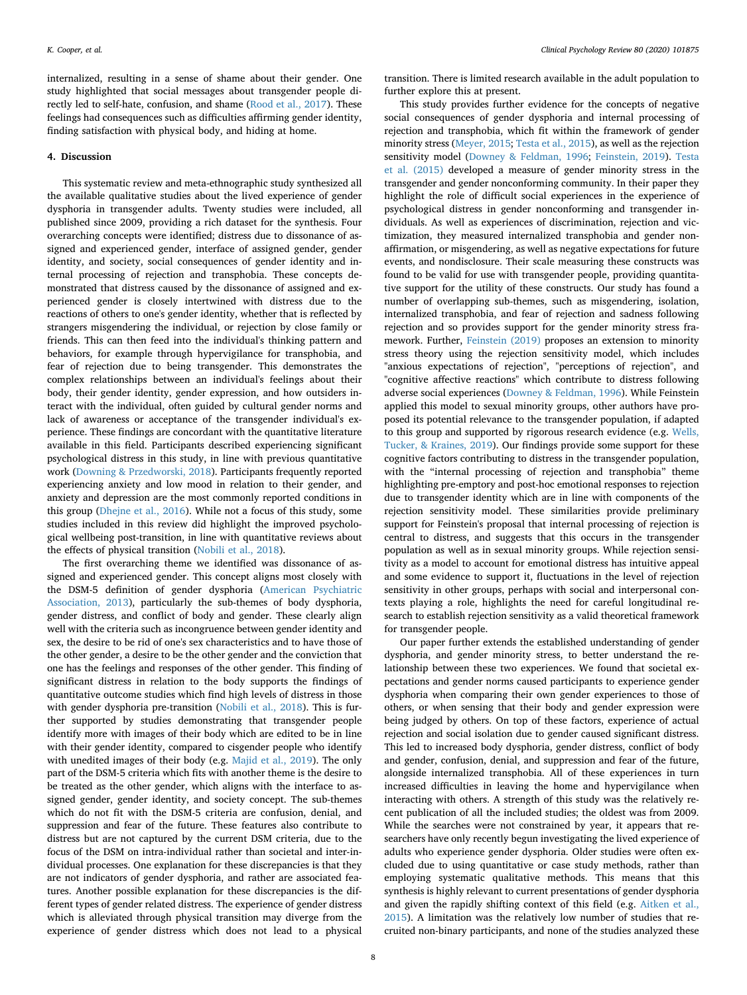internalized, resulting in a sense of shame about their gender. One study highlighted that social messages about transgender people directly led to self-hate, confusion, and shame ([Rood et al., 2017\)](#page-10-46). These feelings had consequences such as difficulties affirming gender identity, finding satisfaction with physical body, and hiding at home.

### **4. Discussion**

This systematic review and meta-ethnographic study synthesized all the available qualitative studies about the lived experience of gender dysphoria in transgender adults. Twenty studies were included, all published since 2009, providing a rich dataset for the synthesis. Four overarching concepts were identified; distress due to dissonance of assigned and experienced gender, interface of assigned gender, gender identity, and society, social consequences of gender identity and internal processing of rejection and transphobia. These concepts demonstrated that distress caused by the dissonance of assigned and experienced gender is closely intertwined with distress due to the reactions of others to one's gender identity, whether that is reflected by strangers misgendering the individual, or rejection by close family or friends. This can then feed into the individual's thinking pattern and behaviors, for example through hypervigilance for transphobia, and fear of rejection due to being transgender. This demonstrates the complex relationships between an individual's feelings about their body, their gender identity, gender expression, and how outsiders interact with the individual, often guided by cultural gender norms and lack of awareness or acceptance of the transgender individual's experience. These findings are concordant with the quantitative literature available in this field. Participants described experiencing significant psychological distress in this study, in line with previous quantitative work ([Downing & Przedworski, 2018](#page-10-13)). Participants frequently reported experiencing anxiety and low mood in relation to their gender, and anxiety and depression are the most commonly reported conditions in this group [\(Dhejne et al., 2016\)](#page-10-14). While not a focus of this study, some studies included in this review did highlight the improved psychological wellbeing post-transition, in line with quantitative reviews about the effects of physical transition ([Nobili et al., 2018\)](#page-10-16).

The first overarching theme we identified was dissonance of assigned and experienced gender. This concept aligns most closely with the DSM-5 definition of gender dysphoria [\(American Psychiatric](#page-10-0) [Association, 2013\)](#page-10-0), particularly the sub-themes of body dysphoria, gender distress, and conflict of body and gender. These clearly align well with the criteria such as incongruence between gender identity and sex, the desire to be rid of one's sex characteristics and to have those of the other gender, a desire to be the other gender and the conviction that one has the feelings and responses of the other gender. This finding of significant distress in relation to the body supports the findings of quantitative outcome studies which find high levels of distress in those with gender dysphoria pre-transition [\(Nobili et al., 2018](#page-10-16)). This is further supported by studies demonstrating that transgender people identify more with images of their body which are edited to be in line with their gender identity, compared to cisgender people who identify with unedited images of their body (e.g. [Majid et al., 2019](#page-10-47)). The only part of the DSM-5 criteria which fits with another theme is the desire to be treated as the other gender, which aligns with the interface to assigned gender, gender identity, and society concept. The sub-themes which do not fit with the DSM-5 criteria are confusion, denial, and suppression and fear of the future. These features also contribute to distress but are not captured by the current DSM criteria, due to the focus of the DSM on intra-individual rather than societal and inter-individual processes. One explanation for these discrepancies is that they are not indicators of gender dysphoria, and rather are associated features. Another possible explanation for these discrepancies is the different types of gender related distress. The experience of gender distress which is alleviated through physical transition may diverge from the experience of gender distress which does not lead to a physical

transition. There is limited research available in the adult population to further explore this at present.

This study provides further evidence for the concepts of negative social consequences of gender dysphoria and internal processing of rejection and transphobia, which fit within the framework of gender minority stress [\(Meyer, 2015](#page-10-17); [Testa et al., 2015](#page-10-18)), as well as the rejection sensitivity model [\(Downey & Feldman, 1996](#page-10-48); [Feinstein, 2019](#page-10-49)). [Testa](#page-10-18) [et al. \(2015\)](#page-10-18) developed a measure of gender minority stress in the transgender and gender nonconforming community. In their paper they highlight the role of difficult social experiences in the experience of psychological distress in gender nonconforming and transgender individuals. As well as experiences of discrimination, rejection and victimization, they measured internalized transphobia and gender nonaffirmation, or misgendering, as well as negative expectations for future events, and nondisclosure. Their scale measuring these constructs was found to be valid for use with transgender people, providing quantitative support for the utility of these constructs. Our study has found a number of overlapping sub-themes, such as misgendering, isolation, internalized transphobia, and fear of rejection and sadness following rejection and so provides support for the gender minority stress framework. Further, [Feinstein \(2019\)](#page-10-49) proposes an extension to minority stress theory using the rejection sensitivity model, which includes "anxious expectations of rejection", "perceptions of rejection", and "cognitive affective reactions" which contribute to distress following adverse social experiences [\(Downey & Feldman, 1996\)](#page-10-48). While Feinstein applied this model to sexual minority groups, other authors have proposed its potential relevance to the transgender population, if adapted to this group and supported by rigorous research evidence (e.g. [Wells,](#page-10-50) [Tucker, & Kraines, 2019\)](#page-10-50). Our findings provide some support for these cognitive factors contributing to distress in the transgender population, with the "internal processing of rejection and transphobia" theme highlighting pre-emptory and post-hoc emotional responses to rejection due to transgender identity which are in line with components of the rejection sensitivity model. These similarities provide preliminary support for Feinstein's proposal that internal processing of rejection is central to distress, and suggests that this occurs in the transgender population as well as in sexual minority groups. While rejection sensitivity as a model to account for emotional distress has intuitive appeal and some evidence to support it, fluctuations in the level of rejection sensitivity in other groups, perhaps with social and interpersonal contexts playing a role, highlights the need for careful longitudinal research to establish rejection sensitivity as a valid theoretical framework for transgender people.

Our paper further extends the established understanding of gender dysphoria, and gender minority stress, to better understand the relationship between these two experiences. We found that societal expectations and gender norms caused participants to experience gender dysphoria when comparing their own gender experiences to those of others, or when sensing that their body and gender expression were being judged by others. On top of these factors, experience of actual rejection and social isolation due to gender caused significant distress. This led to increased body dysphoria, gender distress, conflict of body and gender, confusion, denial, and suppression and fear of the future, alongside internalized transphobia. All of these experiences in turn increased difficulties in leaving the home and hypervigilance when interacting with others. A strength of this study was the relatively recent publication of all the included studies; the oldest was from 2009. While the searches were not constrained by year, it appears that researchers have only recently begun investigating the lived experience of adults who experience gender dysphoria. Older studies were often excluded due to using quantitative or case study methods, rather than employing systematic qualitative methods. This means that this synthesis is highly relevant to current presentations of gender dysphoria and given the rapidly shifting context of this field (e.g. [Aitken et al.,](#page-10-23) [2015\)](#page-10-23). A limitation was the relatively low number of studies that recruited non-binary participants, and none of the studies analyzed these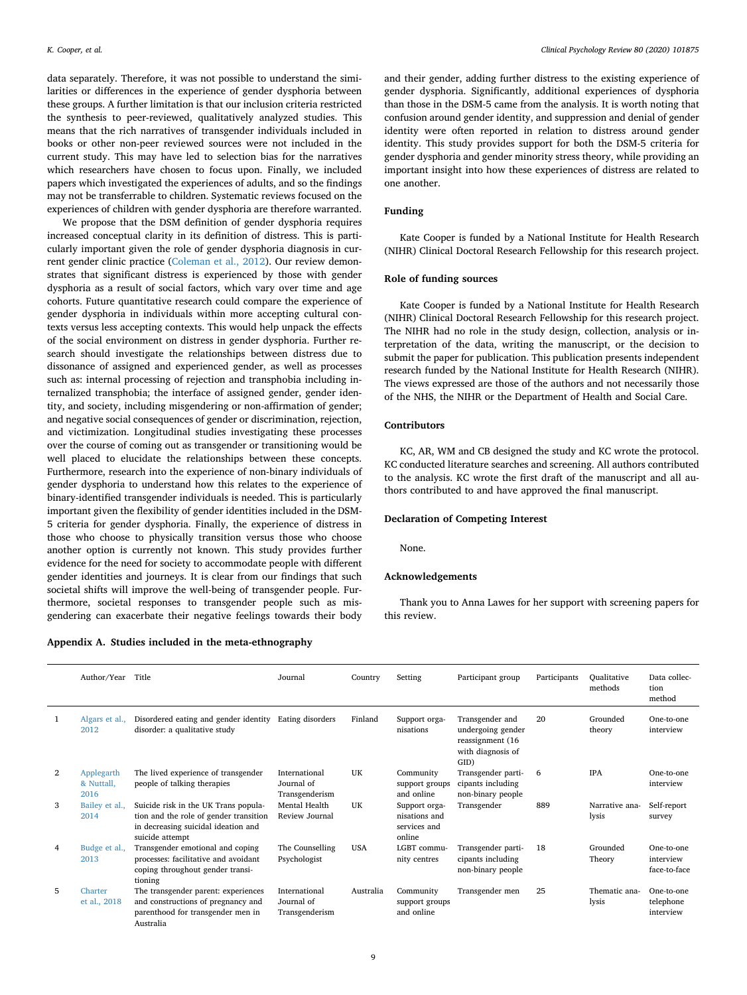data separately. Therefore, it was not possible to understand the similarities or differences in the experience of gender dysphoria between these groups. A further limitation is that our inclusion criteria restricted the synthesis to peer-reviewed, qualitatively analyzed studies. This means that the rich narratives of transgender individuals included in books or other non-peer reviewed sources were not included in the current study. This may have led to selection bias for the narratives which researchers have chosen to focus upon. Finally, we included papers which investigated the experiences of adults, and so the findings may not be transferrable to children. Systematic reviews focused on the experiences of children with gender dysphoria are therefore warranted.

We propose that the DSM definition of gender dysphoria requires increased conceptual clarity in its definition of distress. This is particularly important given the role of gender dysphoria diagnosis in current gender clinic practice [\(Coleman et al., 2012](#page-10-11)). Our review demonstrates that significant distress is experienced by those with gender dysphoria as a result of social factors, which vary over time and age cohorts. Future quantitative research could compare the experience of gender dysphoria in individuals within more accepting cultural contexts versus less accepting contexts. This would help unpack the effects of the social environment on distress in gender dysphoria. Further research should investigate the relationships between distress due to dissonance of assigned and experienced gender, as well as processes such as: internal processing of rejection and transphobia including internalized transphobia; the interface of assigned gender, gender identity, and society, including misgendering or non-affirmation of gender; and negative social consequences of gender or discrimination, rejection, and victimization. Longitudinal studies investigating these processes over the course of coming out as transgender or transitioning would be well placed to elucidate the relationships between these concepts. Furthermore, research into the experience of non-binary individuals of gender dysphoria to understand how this relates to the experience of binary-identified transgender individuals is needed. This is particularly important given the flexibility of gender identities included in the DSM-5 criteria for gender dysphoria. Finally, the experience of distress in those who choose to physically transition versus those who choose another option is currently not known. This study provides further evidence for the need for society to accommodate people with different gender identities and journeys. It is clear from our findings that such societal shifts will improve the well-being of transgender people. Furthermore, societal responses to transgender people such as misgendering can exacerbate their negative feelings towards their body

<span id="page-8-0"></span>**Appendix A. Studies included in the meta-ethnography**

and their gender, adding further distress to the existing experience of gender dysphoria. Significantly, additional experiences of dysphoria than those in the DSM-5 came from the analysis. It is worth noting that confusion around gender identity, and suppression and denial of gender identity were often reported in relation to distress around gender identity. This study provides support for both the DSM-5 criteria for gender dysphoria and gender minority stress theory, while providing an important insight into how these experiences of distress are related to one another.

### **Funding**

Kate Cooper is funded by a National Institute for Health Research (NIHR) Clinical Doctoral Research Fellowship for this research project.

### **Role of funding sources**

Kate Cooper is funded by a National Institute for Health Research (NIHR) Clinical Doctoral Research Fellowship for this research project. The NIHR had no role in the study design, collection, analysis or interpretation of the data, writing the manuscript, or the decision to submit the paper for publication. This publication presents independent research funded by the National Institute for Health Research (NIHR). The views expressed are those of the authors and not necessarily those of the NHS, the NIHR or the Department of Health and Social Care.

### **Contributors**

KC, AR, WM and CB designed the study and KC wrote the protocol. KC conducted literature searches and screening. All authors contributed to the analysis. KC wrote the first draft of the manuscript and all authors contributed to and have approved the final manuscript.

#### **Declaration of Competing Interest**

None.

### **Acknowledgements**

Thank you to Anna Lawes for her support with screening papers for this review.

|                | Author/Year                      | Title                                                                                                                                    | Journal                                       | Country    | Setting                                                  | Participant group                                                                      | Participants | Qualitative<br>methods  | Data collec-<br>tion<br>method          |
|----------------|----------------------------------|------------------------------------------------------------------------------------------------------------------------------------------|-----------------------------------------------|------------|----------------------------------------------------------|----------------------------------------------------------------------------------------|--------------|-------------------------|-----------------------------------------|
|                | Algars et al.,<br>2012           | Disordered eating and gender identity<br>disorder: a qualitative study                                                                   | Eating disorders                              | Finland    | Support orga-<br>nisations                               | Transgender and<br>undergoing gender<br>reassignment (16)<br>with diagnosis of<br>GID) | 20           | Grounded<br>theory      | One-to-one<br>interview                 |
| $\overline{2}$ | Applegarth<br>& Nuttall,<br>2016 | The lived experience of transgender<br>people of talking therapies                                                                       | International<br>Journal of<br>Transgenderism | UK         | Community<br>support groups<br>and online                | Transgender parti-<br>cipants including<br>non-binary people                           | 6            | <b>IPA</b>              | One-to-one<br>interview                 |
| 3              | Bailey et al.,<br>2014           | Suicide risk in the UK Trans popula-<br>tion and the role of gender transition<br>in decreasing suicidal ideation and<br>suicide attempt | Mental Health<br>Review Journal               | UK         | Support orga-<br>nisations and<br>services and<br>online | Transgender                                                                            | 889          | Narrative ana-<br>lysis | Self-report<br>survey                   |
| 4              | Budge et al.,<br>2013            | Transgender emotional and coping<br>processes: facilitative and avoidant<br>coping throughout gender transi-<br>tioning                  | The Counselling<br>Psychologist               | <b>USA</b> | LGBT commu-<br>nity centres                              | Transgender parti-<br>cipants including<br>non-binary people                           | 18           | Grounded<br>Theory      | One-to-one<br>interview<br>face-to-face |
| 5              | Charter<br>et al., 2018          | The transgender parent: experiences<br>and constructions of pregnancy and<br>parenthood for transgender men in<br>Australia              | International<br>Journal of<br>Transgenderism | Australia  | Community<br>support groups<br>and online                | Transgender men                                                                        | 25           | Thematic ana-<br>lysis  | One-to-one<br>telephone<br>interview    |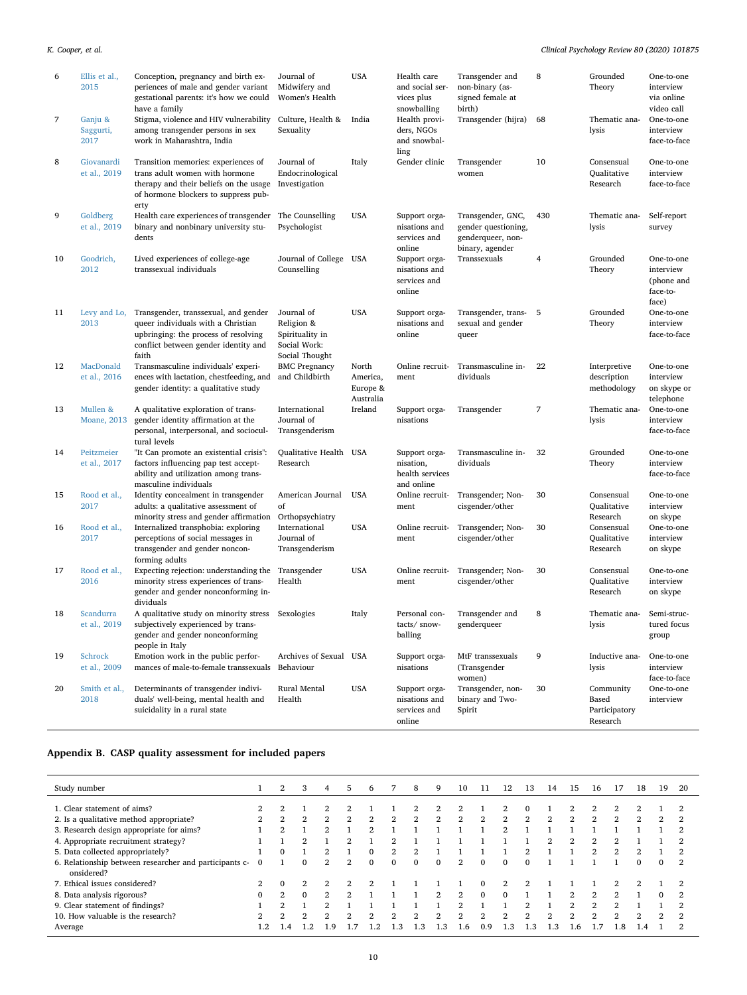| 6  | Ellis et al.,<br>2015           | Conception, pregnancy and birth ex-<br>periences of male and gender variant<br>gestational parents: it's how we could<br>have a family                              | Journal of<br>Midwifery and<br>Women's Health                                 | <b>USA</b>                                 | Health care<br>and social ser-<br>vices plus<br>snowballing | Transgender and<br>non-binary (as-<br>signed female at<br>birth)                 | 8              | Grounded<br>Theory                              | One-to-one<br>interview<br>via online<br>video call        |
|----|---------------------------------|---------------------------------------------------------------------------------------------------------------------------------------------------------------------|-------------------------------------------------------------------------------|--------------------------------------------|-------------------------------------------------------------|----------------------------------------------------------------------------------|----------------|-------------------------------------------------|------------------------------------------------------------|
| 7  | Ganju &<br>Saggurti,<br>2017    | Stigma, violence and HIV vulnerability<br>among transgender persons in sex<br>work in Maharashtra, India                                                            | Culture, Health &<br>Sexuality                                                | India                                      | Health provi-<br>ders, NGOs<br>and snowbal-<br>ling         | Transgender (hijra)                                                              | 68             | Thematic ana-<br>lysis                          | One-to-one<br>interview<br>face-to-face                    |
| 8  | Giovanardi<br>et al., 2019      | Transition memories: experiences of<br>trans adult women with hormone<br>therapy and their beliefs on the usage<br>of hormone blockers to suppress pub-<br>erty     | Journal of<br>Endocrinological<br>Investigation                               | Italy                                      | Gender clinic                                               | Transgender<br>women                                                             | 10             | Consensual<br>Qualitative<br>Research           | One-to-one<br>interview<br>face-to-face                    |
| 9  | Goldberg<br>et al., 2019        | Health care experiences of transgender<br>binary and nonbinary university stu-<br>dents                                                                             | The Counselling<br>Psychologist                                               | <b>USA</b>                                 | Support orga-<br>nisations and<br>services and<br>online    | Transgender, GNC,<br>gender questioning,<br>genderqueer, non-<br>binary, agender | 430            | Thematic ana-<br>lysis                          | Self-report<br>survey                                      |
| 10 | Goodrich,<br>2012               | Lived experiences of college-age<br>transsexual individuals                                                                                                         | Journal of College<br>Counselling                                             | USA                                        | Support orga-<br>nisations and<br>services and<br>online    | Transsexuals                                                                     | 4              | Grounded<br>Theory                              | One-to-one<br>interview<br>(phone and<br>face-to-<br>face) |
| 11 | Levy and Lo,<br>2013            | Transgender, transsexual, and gender<br>queer individuals with a Christian<br>upbringing: the process of resolving<br>conflict between gender identity and<br>faith | Journal of<br>Religion &<br>Spirituality in<br>Social Work:<br>Social Thought | <b>USA</b>                                 | Support orga-<br>nisations and<br>online                    | Transgender, trans- 5<br>sexual and gender<br>queer                              |                | Grounded<br>Theory                              | One-to-one<br>interview<br>face-to-face                    |
| 12 | MacDonald<br>et al., 2016       | Transmasculine individuals' experi-<br>ences with lactation, chestfeeding, and<br>gender identity: a qualitative study                                              | <b>BMC Pregnancy</b><br>and Childbirth                                        | North<br>America,<br>Europe &<br>Australia | Online recruit-<br>ment                                     | Transmasculine in-<br>dividuals                                                  | 22             | Interpretive<br>description<br>methodology      | One-to-one<br>interview<br>on skype or<br>telephone        |
| 13 | Mullen &<br><b>Moane</b> , 2013 | A qualitative exploration of trans-<br>gender identity affirmation at the<br>personal, interpersonal, and sociocul-<br>tural levels                                 | International<br>Journal of<br>Transgenderism                                 | Ireland                                    | Support orga-<br>nisations                                  | Transgender                                                                      | $\overline{7}$ | Thematic ana-<br>lysis                          | One-to-one<br>interview<br>face-to-face                    |
| 14 | Peitzmeier<br>et al., 2017      | "It Can promote an existential crisis":<br>factors influencing pap test accept-<br>ability and utilization among trans-<br>masculine individuals                    | Qualitative Health<br>Research                                                | USA                                        | Support orga-<br>nisation,<br>health services<br>and online | Transmasculine in-<br>dividuals                                                  | 32             | Grounded<br>Theory                              | One-to-one<br>interview<br>face-to-face                    |
| 15 | Rood et al.,<br>2017            | Identity concealment in transgender<br>adults: a qualitative assessment of<br>minority stress and gender affirmation                                                | American Journal<br>of<br>Orthopsychiatry                                     | <b>USA</b>                                 | Online recruit-<br>ment                                     | Transgender; Non-<br>cisgender/other                                             | 30             | Consensual<br>Qualitative<br>Research           | One-to-one<br>interview<br>on skype                        |
| 16 | Rood et al.,<br>2017            | Internalized transphobia: exploring<br>perceptions of social messages in<br>transgender and gender noncon-<br>forming adults                                        | International<br>Journal of<br>Transgenderism                                 | <b>USA</b>                                 | Online recruit-<br>ment                                     | Transgender; Non-<br>cisgender/other                                             | 30             | Consensual<br>Qualitative<br>Research           | One-to-one<br>interview<br>on skype                        |
| 17 | Rood et al.,<br>2016            | Expecting rejection: understanding the<br>minority stress experiences of trans-<br>gender and gender nonconforming in-<br>dividuals                                 | Transgender<br>Health                                                         | <b>USA</b>                                 | Online recruit-<br>ment                                     | Transgender; Non-<br>cisgender/other                                             | 30             | Consensual<br>Oualitative<br>Research           | One-to-one<br>interview<br>on skype                        |
| 18 | Scandurra<br>et al., 2019       | A qualitative study on minority stress Sexologies<br>subjectively experienced by trans-<br>gender and gender nonconforming<br>people in Italy                       |                                                                               | Italy                                      | Personal con-<br>tacts/ snow-<br>balling                    | Transgender and<br>genderqueer                                                   | 8              | Thematic ana-<br>lysis                          | Semi-struc-<br>tured focus<br>group                        |
| 19 | <b>Schrock</b><br>et al., 2009  | Emotion work in the public perfor-<br>mances of male-to-female transsexuals                                                                                         | Archives of Sexual USA<br>Behaviour                                           |                                            | Support orga-<br>nisations                                  | MtF transsexuals<br>(Transgender<br>women)                                       | 9              | Inductive ana-<br>lysis                         | One-to-one<br>interview<br>face-to-face                    |
| 20 | Smith et al.,<br>2018           | Determinants of transgender indivi-<br>duals' well-being, mental health and<br>suicidality in a rural state                                                         | Rural Mental<br>Health                                                        | <b>USA</b>                                 | Support orga-<br>nisations and<br>services and<br>online    | Transgender, non-<br>binary and Two-<br>Spirit                                   | 30             | Community<br>Based<br>Participatory<br>Research | One-to-one<br>interview                                    |

## <span id="page-9-0"></span>**Appendix B. CASP quality assessment for included papers**

| Study number                                                         |                | $\overline{2}$ | 3              | 4              | 5   | 6.            |                | 8        | 9        | 10             | 11           | 12             | 13 | 14  | 15  | 16             | 17                       | 18       | 19       | 20             |
|----------------------------------------------------------------------|----------------|----------------|----------------|----------------|-----|---------------|----------------|----------|----------|----------------|--------------|----------------|----|-----|-----|----------------|--------------------------|----------|----------|----------------|
| 1. Clear statement of aims?                                          | 2              | $\overline{2}$ |                |                |     |               |                |          | 2        | $\mathfrak{D}$ |              | 2              |    |     | 2   |                |                          |          |          | $\overline{2}$ |
| 2. Is a qualitative method appropriate?                              | 2              | 2              | $\overline{2}$ | $\overline{2}$ | 2   | 2             |                | 2        | 2        | 2              | 2            | 2              | 2  | 2   | 2   | 2              | 2                        |          |          | 2              |
| 3. Research design appropriate for aims?                             |                | 2              |                | $\mathfrak{D}$ |     | 2             |                |          |          |                |              | 2              |    |     |     |                |                          |          |          | 2              |
| 4. Appropriate recruitment strategy?                                 |                |                |                |                |     |               |                |          |          |                |              |                |    | 2   | 2   |                |                          |          |          | 2              |
| 5. Data collected appropriately?                                     |                |                |                | 2              |     | $\Omega$      | $\mathfrak{D}$ |          |          |                |              |                |    |     |     | $\mathfrak{D}$ | $\mathfrak{D}_{1}^{(1)}$ |          |          | 2              |
| 6. Relationship between researcher and participants c-<br>onsidered? |                |                | $\Omega$       | 2              | 2   | $\Omega$      | $\Omega$       | $\Omega$ | $\Omega$ | 2              | $\mathbf{0}$ | $\Omega$       | 0  |     |     |                |                          | $\Omega$ |          | $\overline{2}$ |
| 7. Ethical issues considered?                                        | $\mathfrak{D}$ |                | $\mathfrak{D}$ | 2              |     |               |                |          |          |                | $\Omega$     | $\mathfrak{D}$ |    |     |     |                | 2                        |          |          | 2              |
| 8. Data analysis rigorous?                                           | $\Omega$       | 2              | $\Omega$       | 2              |     |               |                |          | 2        | 2              | $\Omega$     | $\Omega$       |    |     | 2   |                | $\mathfrak{D}$           |          | $\Omega$ | 2              |
| 9. Clear statement of findings?                                      |                | <sub>o</sub>   |                | റ              |     |               |                |          |          | റ              |              |                | ≘  |     | 2   | C.             | 2                        |          |          | 2              |
| 10. How valuable is the research?                                    | 2              | $\mathbf{2}$   | $\mathfrak{D}$ | $\overline{2}$ |     | 2             |                |          | 2        | 2              | 2            | 2              | 2  | 2   | 2   |                | 2                        |          |          | $\overline{2}$ |
| Average                                                              | $\cdot$ .2     | . . 4          | .2             | 19             | . 7 | $\mathcal{D}$ | -3             | 1.3      | 1.3      | .6             | 0.9          | $\cdot$ 3      | .3 | 1.3 | 1.6 | .7             | 1.8                      | 1.4      |          | $\mathfrak{D}$ |